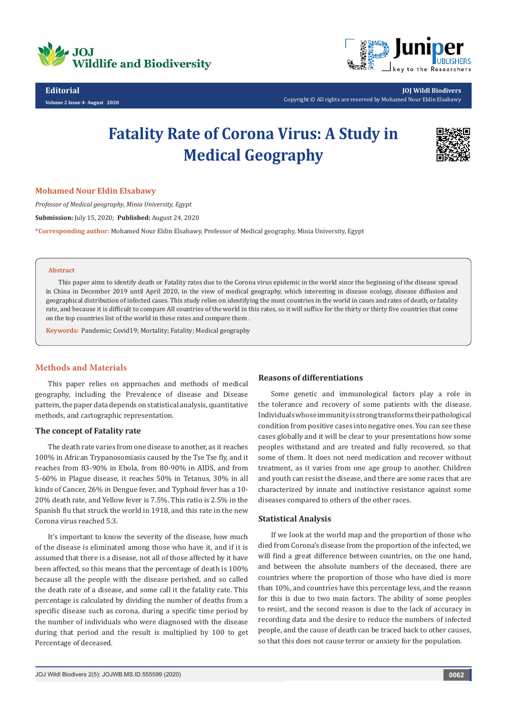

**Editorial**

**Volume 2 Issue 4- August 2020**



**JOJ Wildl Biodivers**

# Copyright © All rights are reserved by Mohamed Nour Eldin Elsabawy

# **Fatality Rate of Corona Virus: A Study in Medical Geography**



#### **Mohamed Nour Eldin Elsabawy**

*Professor of Medical geography, Minia University, Egypt* **Submission:** July 15, 2020; **Published:** August 24, 2020

**\*Corresponding author:** Mohamed Nour Eldin Elsabawy, Professor of Medical geography, Minia University, Egypt

#### **Abstract**

This paper aims to identify death or Fatality rates due to the Corona virus epidemic in the world since the beginning of the disease spread in China in December 2019 until April 2020, in the view of medical geography, which interesting in disease ecology, disease diffusion and geographical distribution of infected cases. This study relies on identifying the most countries in the world in cases and rates of death, or fatality rate, and because it is difficult to compare All countries of the world in this rates, so it will suffice for the thirty or thirty five countries that come on the top countries list of the world in these rates and compare them .

**Keywords:** Pandemic; Covid19; Mortality; Fatality; Medical geography

# **Methods and Materials**

This paper relies on approaches and methods of medical geography, including the Prevalence of disease and Disease pattern, the paper data depends on statistical analysis, quantitative methods, and cartographic representation.

#### **The concept of Fatality rate**

The death rate varies from one disease to another, as it reaches 100% in African Trypanosomiasis caused by the Tse Tse fly, and it reaches from 83-90% in Ebola, from 80-90% in AIDS, and from 5-60% in Plague disease, it reaches 50% in Tetanus, 30% in all kinds of Cancer, 26% in Dengue fever, and Typhoid fever has a 10- 20% death rate, and Yellow fever is 7.5%. This ratio is 2.5% in the Spanish flu that struck the world in 1918, and this rate in the new Corona virus reached 5.3.

It's important to know the severity of the disease, how much of the disease is eliminated among those who have it, and if it is assumed that there is a disease, not all of those affected by it have been affected, so this means that the percentage of death is 100% because all the people with the disease perished, and so called the death rate of a disease, and some call it the fatality rate. This percentage is calculated by dividing the number of deaths from a specific disease such as corona, during a specific time period by the number of individuals who were diagnosed with the disease during that period and the result is multiplied by 100 to get Percentage of deceased.

# **Reasons of differentiations**

Some genetic and immunological factors play a role in the tolerance and recovery of some patients with the disease. Individuals whose immunity is strong transforms their pathological condition from positive cases into negative ones. You can see these cases globally and it will be clear to your presentations how some peoples withstand and are treated and fully recovered, so that some of them. It does not need medication and recover without treatment, as it varies from one age group to another. Children and youth can resist the disease, and there are some races that are characterized by innate and instinctive resistance against some diseases compared to others of the other races.

#### **Statistical Analysis**

If we look at the world map and the proportion of those who died from Corona's disease from the proportion of the infected, we will find a great difference between countries, on the one hand, and between the absolute numbers of the deceased, there are countries where the proportion of those who have died is more than 10%, and countries have this percentage less, and the reason for this is due to two main factors. The ability of some peoples to resist, and the second reason is due to the lack of accuracy in recording data and the desire to reduce the numbers of infected people, and the cause of death can be traced back to other causes, so that this does not cause terror or anxiety for the population.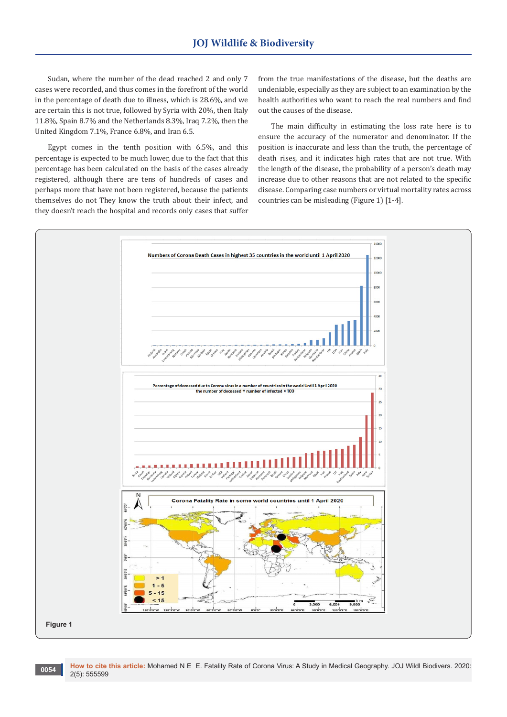Sudan, where the number of the dead reached 2 and only 7 cases were recorded, and thus comes in the forefront of the world in the percentage of death due to illness, which is 28.6%, and we are certain this is not true, followed by Syria with 20%, then Italy 11.8%, Spain 8.7% and the Netherlands 8.3%, Iraq 7.2%, then the United Kingdom 7.1%, France 6.8%, and Iran 6.5.

Egypt comes in the tenth position with 6.5%, and this percentage is expected to be much lower, due to the fact that this percentage has been calculated on the basis of the cases already registered, although there are tens of hundreds of cases and perhaps more that have not been registered, because the patients themselves do not They know the truth about their infect, and they doesn't reach the hospital and records only cases that suffer

from the true manifestations of the disease, but the deaths are undeniable, especially as they are subject to an examination by the health authorities who want to reach the real numbers and find out the causes of the disease.

The main difficulty in estimating the loss rate here is to ensure the accuracy of the numerator and denominator. If the position is inaccurate and less than the truth, the percentage of death rises, and it indicates high rates that are not true. With the length of the disease, the probability of a person's death may increase due to other reasons that are not related to the specific disease. Comparing case numbers or virtual mortality rates across countries can be misleading (Figure 1) [1-4].